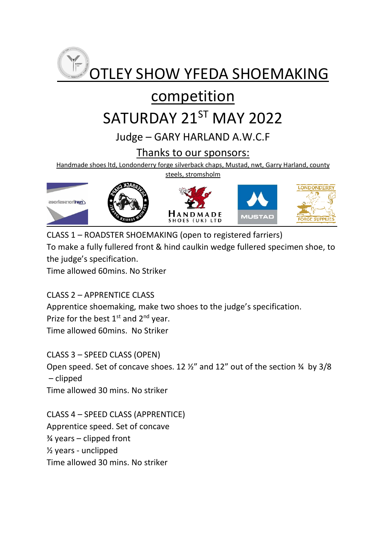

## competition

# SATURDAY 21ST MAY 2022

### Judge – GARY HARLAND A.W.C.F

#### Thanks to our sponsors:

Handmade shoes ltd, Londonderry forge silverback chaps, Mustad, nwt, Garry Harland, county

steels, stromsholm



CLASS 1 – ROADSTER SHOEMAKING (open to registered farriers) To make a fully fullered front & hind caulkin wedge fullered specimen shoe, to the judge's specification.

Time allowed 60mins. No Striker

CLASS 2 – APPRENTICE CLASS

Apprentice shoemaking, make two shoes to the judge's specification. Prize for the best  $1<sup>st</sup>$  and  $2<sup>nd</sup>$  year. Time allowed 60mins. No Striker

CLASS 3 – SPEED CLASS (OPEN) Open speed. Set of concave shoes. 12 ½" and 12" out of the section ¾ by 3/8 – clipped Time allowed 30 mins. No striker

CLASS 4 – SPEED CLASS (APPRENTICE) Apprentice speed. Set of concave  $\frac{3}{4}$  years – clipped front ½ years - unclipped Time allowed 30 mins. No striker